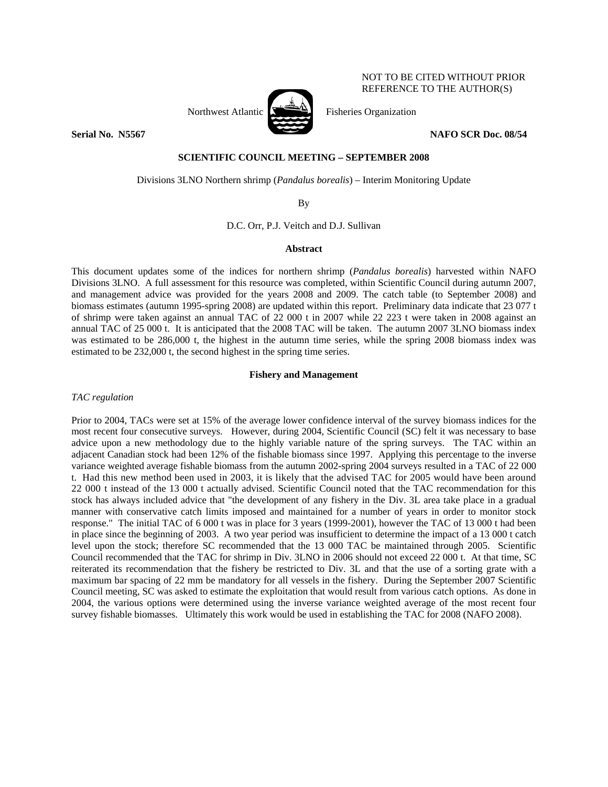

NOT TO BE CITED WITHOUT PRIOR REFERENCE TO THE AUTHOR(S)

# **SCIENTIFIC COUNCIL MEETING – SEPTEMBER 2008**

Divisions 3LNO Northern shrimp (*Pandalus borealis*) – Interim Monitoring Update

By

D.C. Orr, P.J. Veitch and D.J. Sullivan

# **Abstract**

This document updates some of the indices for northern shrimp (*Pandalus borealis*) harvested within NAFO Divisions 3LNO. A full assessment for this resource was completed, within Scientific Council during autumn 2007, and management advice was provided for the years 2008 and 2009. The catch table (to September 2008) and biomass estimates (autumn 1995-spring 2008) are updated within this report. Preliminary data indicate that 23 077 t of shrimp were taken against an annual TAC of 22 000 t in 2007 while 22 223 t were taken in 2008 against an annual TAC of 25 000 t. It is anticipated that the 2008 TAC will be taken. The autumn 2007 3LNO biomass index was estimated to be 286,000 t, the highest in the autumn time series, while the spring 2008 biomass index was estimated to be 232,000 t, the second highest in the spring time series.

# **Fishery and Management**

*TAC regulation* 

Prior to 2004, TACs were set at 15% of the average lower confidence interval of the survey biomass indices for the most recent four consecutive surveys. However, during 2004, Scientific Council (SC) felt it was necessary to base advice upon a new methodology due to the highly variable nature of the spring surveys. The TAC within an adjacent Canadian stock had been 12% of the fishable biomass since 1997. Applying this percentage to the inverse variance weighted average fishable biomass from the autumn 2002-spring 2004 surveys resulted in a TAC of 22 000 t. Had this new method been used in 2003, it is likely that the advised TAC for 2005 would have been around 22 000 t instead of the 13 000 t actually advised. Scientific Council noted that the TAC recommendation for this stock has always included advice that "the development of any fishery in the Div. 3L area take place in a gradual manner with conservative catch limits imposed and maintained for a number of years in order to monitor stock response." The initial TAC of 6 000 t was in place for 3 years (1999-2001), however the TAC of 13 000 t had been in place since the beginning of 2003. A two year period was insufficient to determine the impact of a 13 000 t catch level upon the stock; therefore SC recommended that the 13 000 TAC be maintained through 2005. Scientific Council recommended that the TAC for shrimp in Div. 3LNO in 2006 should not exceed 22 000 t. At that time, SC reiterated its recommendation that the fishery be restricted to Div. 3L and that the use of a sorting grate with a maximum bar spacing of 22 mm be mandatory for all vessels in the fishery. During the September 2007 Scientific Council meeting, SC was asked to estimate the exploitation that would result from various catch options. As done in 2004, the various options were determined using the inverse variance weighted average of the most recent four survey fishable biomasses. Ultimately this work would be used in establishing the TAC for 2008 (NAFO 2008).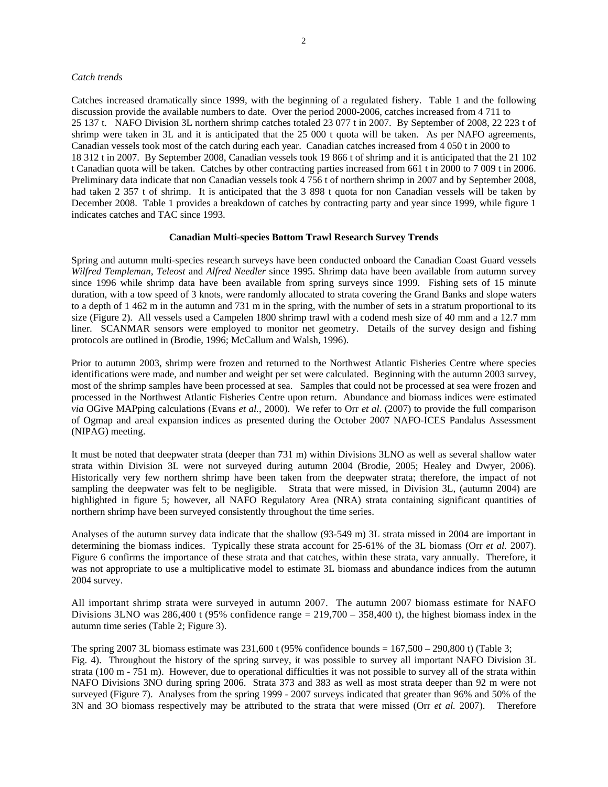#### *Catch trends*

Catches increased dramatically since 1999, with the beginning of a regulated fishery. Table 1 and the following discussion provide the available numbers to date. Over the period 2000-2006, catches increased from 4 711 to 25 137 t. NAFO Division 3L northern shrimp catches totaled 23 077 t in 2007. By September of 2008, 22 223 t of shrimp were taken in 3L and it is anticipated that the 25 000 t quota will be taken. As per NAFO agreements, Canadian vessels took most of the catch during each year. Canadian catches increased from 4 050 t in 2000 to 18 312 t in 2007. By September 2008, Canadian vessels took 19 866 t of shrimp and it is anticipated that the 21 102 t Canadian quota will be taken. Catches by other contracting parties increased from 661 t in 2000 to 7 009 t in 2006. Preliminary data indicate that non Canadian vessels took 4 756 t of northern shrimp in 2007 and by September 2008, had taken 2 357 t of shrimp. It is anticipated that the 3 898 t quota for non Canadian vessels will be taken by December 2008. Table 1 provides a breakdown of catches by contracting party and year since 1999, while figure 1 indicates catches and TAC since 1993.

#### **Canadian Multi-species Bottom Trawl Research Survey Trends**

Spring and autumn multi-species research surveys have been conducted onboard the Canadian Coast Guard vessels *Wilfred Templeman*, *Teleost* and *Alfred Needler* since 1995. Shrimp data have been available from autumn survey since 1996 while shrimp data have been available from spring surveys since 1999. Fishing sets of 15 minute duration, with a tow speed of 3 knots, were randomly allocated to strata covering the Grand Banks and slope waters to a depth of 1 462 m in the autumn and 731 m in the spring, with the number of sets in a stratum proportional to its size (Figure 2). All vessels used a Campelen 1800 shrimp trawl with a codend mesh size of 40 mm and a 12.7 mm liner. SCANMAR sensors were employed to monitor net geometry. Details of the survey design and fishing protocols are outlined in (Brodie, 1996; McCallum and Walsh, 1996).

Prior to autumn 2003, shrimp were frozen and returned to the Northwest Atlantic Fisheries Centre where species identifications were made, and number and weight per set were calculated. Beginning with the autumn 2003 survey, most of the shrimp samples have been processed at sea. Samples that could not be processed at sea were frozen and processed in the Northwest Atlantic Fisheries Centre upon return. Abundance and biomass indices were estimated *via* OGive MAPping calculations (Evans *et al.,* 2000). We refer to Orr *et al*. (2007) to provide the full comparison of Ogmap and areal expansion indices as presented during the October 2007 NAFO-ICES Pandalus Assessment (NIPAG) meeting.

It must be noted that deepwater strata (deeper than 731 m) within Divisions 3LNO as well as several shallow water strata within Division 3L were not surveyed during autumn 2004 (Brodie, 2005; Healey and Dwyer, 2006). Historically very few northern shrimp have been taken from the deepwater strata; therefore, the impact of not sampling the deepwater was felt to be negligible. Strata that were missed, in Division 3L, (autumn 2004) are highlighted in figure 5; however, all NAFO Regulatory Area (NRA) strata containing significant quantities of northern shrimp have been surveyed consistently throughout the time series.

Analyses of the autumn survey data indicate that the shallow (93-549 m) 3L strata missed in 2004 are important in determining the biomass indices. Typically these strata account for 25-61% of the 3L biomass (Orr *et al.* 2007). Figure 6 confirms the importance of these strata and that catches, within these strata, vary annually. Therefore, it was not appropriate to use a multiplicative model to estimate 3L biomass and abundance indices from the autumn 2004 survey.

All important shrimp strata were surveyed in autumn 2007. The autumn 2007 biomass estimate for NAFO Divisions 3LNO was 286,400 t (95% confidence range  $= 219,700 - 358,400$  t), the highest biomass index in the autumn time series (Table 2; Figure 3).

The spring 2007 3L biomass estimate was  $231,600$  t (95% confidence bounds = 167,500 – 290,800 t) (Table 3; Fig. 4). Throughout the history of the spring survey, it was possible to survey all important NAFO Division 3L strata (100 m - 751 m). However, due to operational difficulties it was not possible to survey all of the strata within NAFO Divisions 3NO during spring 2006. Strata 373 and 383 as well as most strata deeper than 92 m were not surveyed (Figure 7). Analyses from the spring 1999 - 2007 surveys indicated that greater than 96% and 50% of the 3N and 3O biomass respectively may be attributed to the strata that were missed (Orr *et al.* 2007). Therefore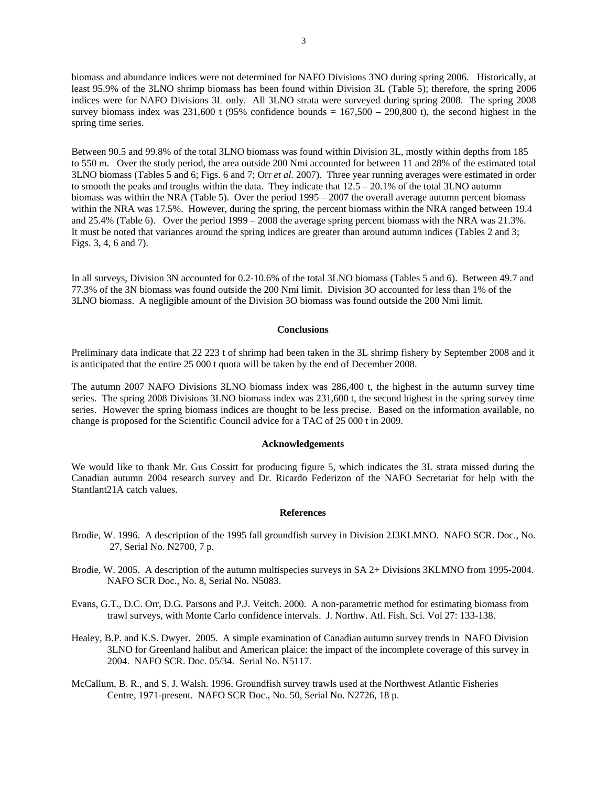biomass and abundance indices were not determined for NAFO Divisions 3NO during spring 2006. Historically, at least 95.9% of the 3LNO shrimp biomass has been found within Division 3L (Table 5); therefore, the spring 2006 indices were for NAFO Divisions 3L only. All 3LNO strata were surveyed during spring 2008. The spring 2008 survey biomass index was 231,600 t (95% confidence bounds =  $167,500 - 290,800$  t), the second highest in the spring time series.

Between 90.5 and 99.8% of the total 3LNO biomass was found within Division 3L, mostly within depths from 185 to 550 m. Over the study period, the area outside 200 Nmi accounted for between 11 and 28% of the estimated total 3LNO biomass (Tables 5 and 6; Figs. 6 and 7; Orr *et al.* 2007). Three year running averages were estimated in order to smooth the peaks and troughs within the data. They indicate that  $12.5 - 20.1\%$  of the total 3LNO autumn biomass was within the NRA (Table 5). Over the period 1995 – 2007 the overall average autumn percent biomass within the NRA was 17.5%. However, during the spring, the percent biomass within the NRA ranged between 19.4 and 25.4% (Table 6). Over the period 1999 – 2008 the average spring percent biomass with the NRA was 21.3%. It must be noted that variances around the spring indices are greater than around autumn indices (Tables 2 and 3; Figs. 3, 4, 6 and 7).

In all surveys, Division 3N accounted for 0.2-10.6% of the total 3LNO biomass (Tables 5 and 6). Between 49.7 and 77.3% of the 3N biomass was found outside the 200 Nmi limit. Division 3O accounted for less than 1% of the 3LNO biomass. A negligible amount of the Division 3O biomass was found outside the 200 Nmi limit.

#### **Conclusions**

Preliminary data indicate that 22 223 t of shrimp had been taken in the 3L shrimp fishery by September 2008 and it is anticipated that the entire 25 000 t quota will be taken by the end of December 2008.

The autumn 2007 NAFO Divisions 3LNO biomass index was 286,400 t, the highest in the autumn survey time series. The spring 2008 Divisions 3LNO biomass index was 231,600 t, the second highest in the spring survey time series. However the spring biomass indices are thought to be less precise. Based on the information available, no change is proposed for the Scientific Council advice for a TAC of 25 000 t in 2009.

# **Acknowledgements**

We would like to thank Mr. Gus Cossitt for producing figure 5, which indicates the 3L strata missed during the Canadian autumn 2004 research survey and Dr. Ricardo Federizon of the NAFO Secretariat for help with the Stantlant21A catch values.

### **References**

- Brodie, W. 1996. A description of the 1995 fall groundfish survey in Division 2J3KLMNO. NAFO SCR. Doc., No. 27, Serial No. N2700, 7 p.
- Brodie, W. 2005. A description of the autumn multispecies surveys in SA 2+ Divisions 3KLMNO from 1995-2004. NAFO SCR Doc., No. 8, Serial No. N5083.
- Evans, G.T., D.C. Orr, D.G. Parsons and P.J. Veitch. 2000. A non-parametric method for estimating biomass from trawl surveys, with Monte Carlo confidence intervals. J. Northw. Atl. Fish. Sci. Vol 27: 133-138.
- Healey, B.P. and K.S. Dwyer. 2005. A simple examination of Canadian autumn survey trends in NAFO Division 3LNO for Greenland halibut and American plaice: the impact of the incomplete coverage of this survey in 2004. NAFO SCR. Doc. 05/34. Serial No. N5117.
- McCallum, B. R., and S. J. Walsh. 1996. Groundfish survey trawls used at the Northwest Atlantic Fisheries Centre, 1971-present. NAFO SCR Doc., No. 50, Serial No. N2726, 18 p.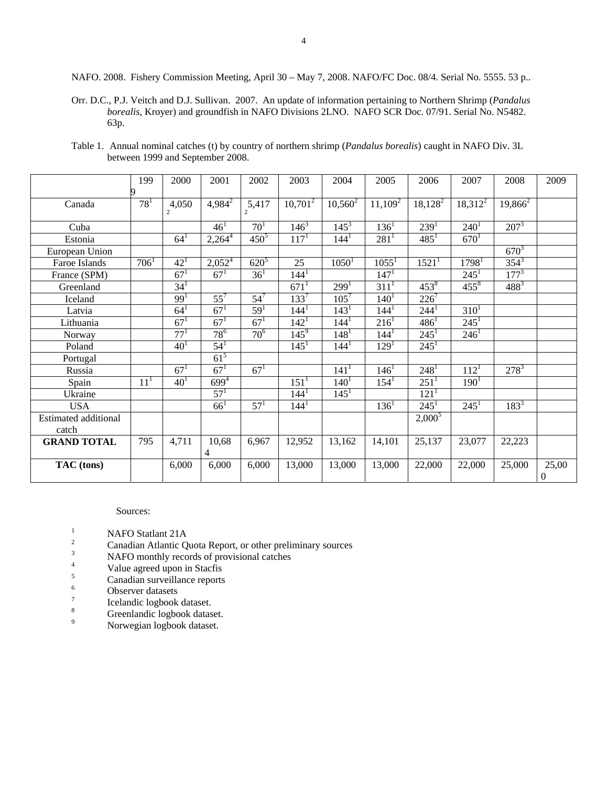Orr. D.C., P.J. Veitch and D.J. Sullivan. 2007. An update of information pertaining to Northern Shrimp (*Pandalus borealis*, Kroyer) and groundfish in NAFO Divisions 2LNO. NAFO SCR Doc. 07/91. Serial No. N5482. 63p.

| Table 1. Annual nominal catches (t) by country of northern shrimp ( <i>Pandalus borealis</i> ) caught in NAFO Div. 3L |  |  |  |
|-----------------------------------------------------------------------------------------------------------------------|--|--|--|
| between 1999 and September 2008.                                                                                      |  |  |  |

|                             | 199      | 2000                    | 2001                   | 2002                    | 2003             | 2004             | 2005             | 2006                | 2007              | 2008               | 2009             |
|-----------------------------|----------|-------------------------|------------------------|-------------------------|------------------|------------------|------------------|---------------------|-------------------|--------------------|------------------|
|                             |          |                         |                        |                         |                  |                  |                  |                     |                   |                    |                  |
| Canada                      | $78^{1}$ | 4,050<br>$\overline{c}$ | $4,984^2$              | 5,417<br>$\overline{c}$ | $10,701^2$       | $10,560^2$       | $11,109^2$       | $18,128^2$          | $18,312^2$        | $19,866^2$         |                  |
|                             |          |                         |                        |                         |                  |                  |                  |                     |                   |                    |                  |
| Cuba                        |          |                         | 46 <sup>1</sup>        | 70 <sup>1</sup>         | $146^3$          | $145^3$          | $136^1$          | 239 <sup>1</sup>    | $240^1$           | $\overline{207^3}$ |                  |
| Estonia                     |          | $64^{1}$                | $2,264^{\overline{4}}$ | $450^{5}$               | $117^{1}$        | $144^1$          | $281^1$          | $485^1$             | $670^1$           |                    |                  |
| European Union              |          |                         |                        |                         |                  |                  |                  |                     |                   | $670^{3}$          |                  |
| Faroe Islands               | $706^1$  | $42^{1}$                | $2,052^4$              | $620^{5}$               | 25               | $1050^1$         | $1055^1$         | $1521$ <sup>1</sup> | 1798 <sup>1</sup> | $354^{3}$          |                  |
| France (SPM)                |          | $67^{1}$                | $67^{1}$               | 36 <sup>1</sup>         | 144 <sup>1</sup> |                  | 147 <sup>1</sup> |                     | $245^1$           | $177^3$            |                  |
| Greenland                   |          | 34 <sup>1</sup>         |                        |                         | $671^1$          | 299 <sup>1</sup> | $311^1$          | $453^8$             | $455^{8}$         | $488^{3}$          |                  |
| Iceland                     |          | 99 <sup>1</sup>         | $55^7$                 | $54^7$                  | $133^7$          | $105^{7}$        | $140^1$          | $226^7$             |                   |                    |                  |
| Latvia                      |          | $64^{1}$                | 67 <sup>1</sup>        | $59^{1}$                | $144^1$          | $143^1$          | 144 <sup>1</sup> | 244 <sup>1</sup>    | $310^1$           |                    |                  |
| Lithuania                   |          | $67^{1}$                | $67^{1}$               | $67^{1}$                | $142^1$          | 144 <sup>1</sup> | $216^1$          | $486^1$             | $245^1$           |                    |                  |
| Norway                      |          | $77^{1}$                | $78^{6}$               | 70 <sup>6</sup>         | $145^9$          | 148 <sup>1</sup> | 144 <sup>1</sup> | $245^1$             | $246^1$           |                    |                  |
| Poland                      |          | $40^{1}$                | $54^{1}$               |                         | $145^1$          | $144^1$          | 129 <sup>1</sup> | $245^1$             |                   |                    |                  |
| Portugal                    |          |                         | $61^5$                 |                         |                  |                  |                  |                     |                   |                    |                  |
| Russia                      |          | $67^{1}$                | $67^{1}$               | $67^{1}$                |                  | 141 <sup>1</sup> | $146^1$          | 248 <sup>1</sup>    | $112^1$           | $278^3$            |                  |
| Spain                       | $11^{1}$ | 40 <sup>1</sup>         | $699^{4}$              |                         | $151^1$          | $140^1$          | $154^1$          | $251^1$             | $190^1$           |                    |                  |
| Ukraine                     |          |                         | 57 <sup>1</sup>        |                         | $144^1$          | $145^1$          |                  | 121 <sup>1</sup>    |                   |                    |                  |
| <b>USA</b>                  |          |                         | $66^1$                 | $57^{1}$                | $144^1$          |                  | $136^1$          | $245^1$             | $245^1$           | $183^{3}$          |                  |
| <b>Estimated additional</b> |          |                         |                        |                         |                  |                  |                  | $2,000^5$           |                   |                    |                  |
| catch                       |          |                         |                        |                         |                  |                  |                  |                     |                   |                    |                  |
| <b>GRAND TOTAL</b>          | 795      | 4,711                   | 10,68                  | 6,967                   | 12,952           | 13,162           | 14,101           | 25,137              | 23,077            | 22,223             |                  |
|                             |          |                         | 4                      |                         |                  |                  |                  |                     |                   |                    |                  |
| TAC (tons)                  |          | 6,000                   | 6,000                  | 6,000                   | 13,000           | 13,000           | 13,000           | 22,000              | 22,000            | 25,000             | 25,00            |
|                             |          |                         |                        |                         |                  |                  |                  |                     |                   |                    | $\boldsymbol{0}$ |

### Sources:

- 
- <sup>1</sup><br><sup>2</sup> Canadian Atlantic Quota Report, or other preliminary sources<br><sup>3</sup> NAFO monthly records of provisional catches
- NAFO monthly records of provisional catches
- 4  $V$ alue agreed upon in Stacfis
- $5 \t\t \text{Canadian surveillance reports}$
- Observer datasets
- 7 Icelandic logbook dataset.
- 8 Greenlandic logbook dataset.
- 9 Norwegian logbook dataset.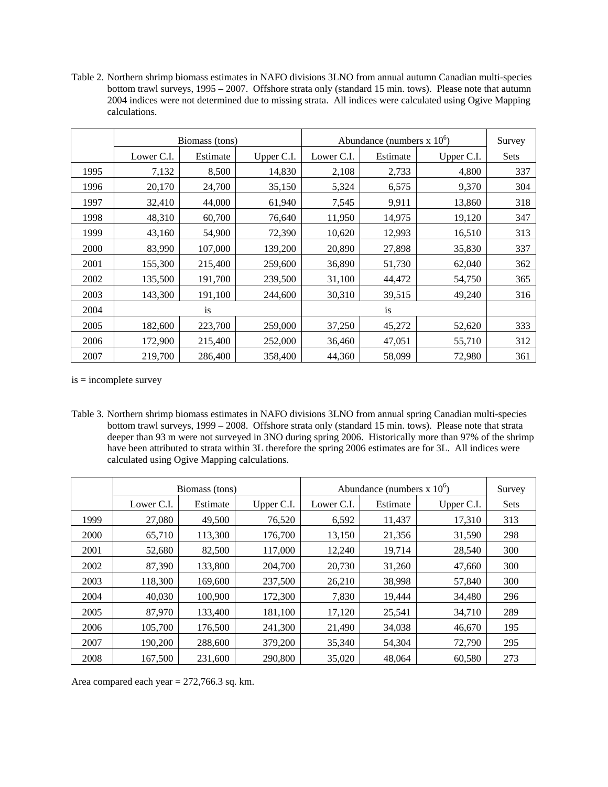Table 2. Northern shrimp biomass estimates in NAFO divisions 3LNO from annual autumn Canadian multi-species bottom trawl surveys, 1995 – 2007. Offshore strata only (standard 15 min. tows). Please note that autumn 2004 indices were not determined due to missing strata. All indices were calculated using Ogive Mapping calculations.

|      |            | Biomass (tons) |            | Abundance (numbers $x 10^6$ ) | Survey    |            |             |
|------|------------|----------------|------------|-------------------------------|-----------|------------|-------------|
|      | Lower C.I. | Estimate       | Upper C.I. | Lower C.I.                    | Estimate  | Upper C.I. | <b>Sets</b> |
| 1995 | 7,132      | 8,500          | 14,830     | 2,108                         | 2,733     | 4,800      | 337         |
| 1996 | 20,170     | 24,700         | 35,150     | 5,324                         | 6,575     | 9,370      | 304         |
| 1997 | 32,410     | 44,000         | 61,940     | 7,545                         | 9,911     | 13,860     | 318         |
| 1998 | 48,310     | 60,700         | 76,640     | 11,950                        | 14,975    | 19,120     | 347         |
| 1999 | 43,160     | 54,900         | 72,390     | 10,620                        | 12,993    | 16,510     | 313         |
| 2000 | 83,990     | 107,000        | 139,200    | 20,890                        | 27,898    | 35,830     | 337         |
| 2001 | 155,300    | 215,400        | 259,600    | 36,890                        | 51,730    | 62,040     | 362         |
| 2002 | 135,500    | 191,700        | 239,500    | 31,100                        | 44,472    | 54,750     | 365         |
| 2003 | 143,300    | 191,100        | 244,600    | 30,310                        | 39,515    | 49,240     | 316         |
| 2004 |            | is             |            |                               | <i>is</i> |            |             |
| 2005 | 182,600    | 223,700        | 259,000    | 37,250                        | 45,272    | 52,620     | 333         |
| 2006 | 172,900    | 215,400        | 252,000    | 36,460                        | 47,051    | 55,710     | 312         |
| 2007 | 219,700    | 286,400        | 358,400    | 44,360                        | 58,099    | 72,980     | 361         |

is = incomplete survey

Table 3. Northern shrimp biomass estimates in NAFO divisions 3LNO from annual spring Canadian multi-species bottom trawl surveys, 1999 – 2008. Offshore strata only (standard 15 min. tows). Please note that strata deeper than 93 m were not surveyed in 3NO during spring 2006. Historically more than 97% of the shrimp have been attributed to strata within 3L therefore the spring 2006 estimates are for 3L. All indices were calculated using Ogive Mapping calculations.

|      | Biomass (tons) |          |            | Abundance (numbers $x 10^{\circ}$ ) | Survey   |            |             |
|------|----------------|----------|------------|-------------------------------------|----------|------------|-------------|
|      | Lower C.I.     | Estimate | Upper C.I. | Lower C.I.                          | Estimate | Upper C.I. | <b>Sets</b> |
| 1999 | 27,080         | 49,500   | 76,520     | 6,592                               | 11,437   | 17,310     | 313         |
| 2000 | 65,710         | 113,300  | 176,700    | 13,150                              | 21,356   | 31,590     | 298         |
| 2001 | 52,680         | 82,500   | 117,000    | 12,240                              | 19,714   | 28,540     | 300         |
| 2002 | 87,390         | 133,800  | 204,700    | 20,730                              | 31,260   | 47,660     | 300         |
| 2003 | 118,300        | 169,600  | 237,500    | 26,210                              | 38,998   | 57,840     | 300         |
| 2004 | 40,030         | 100.900  | 172,300    | 7,830                               | 19.444   | 34,480     | 296         |
| 2005 | 87.970         | 133.400  | 181,100    | 17,120                              | 25,541   | 34,710     | 289         |
| 2006 | 105.700        | 176.500  | 241,300    | 21,490                              | 34,038   | 46,670     | 195         |
| 2007 | 190.200        | 288,600  | 379,200    | 35,340                              | 54.304   | 72,790     | 295         |
| 2008 | 167,500        | 231,600  | 290,800    | 35,020                              | 48,064   | 60.580     | 273         |

Area compared each year  $= 272,766.3$  sq. km.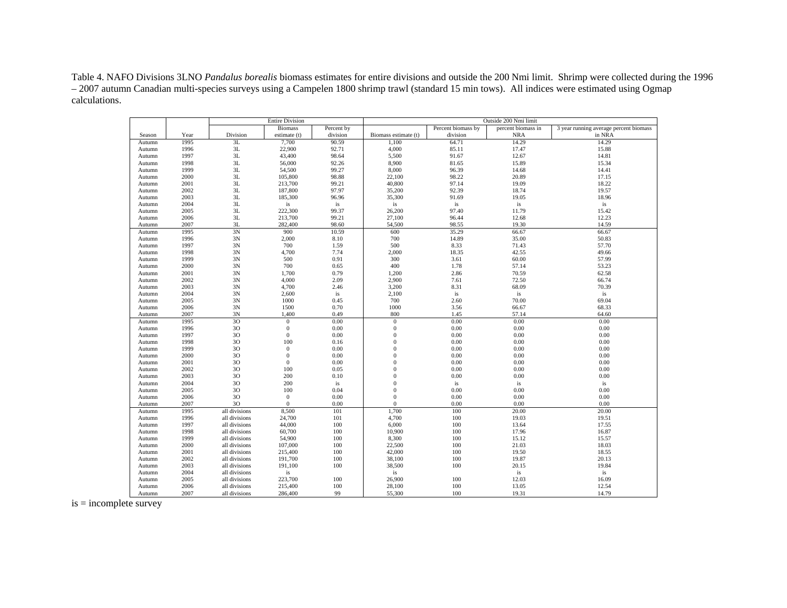Table 4. NAFO Divisions 3LNO *Pandalus borealis* biomass estimates for entire divisions and outside the 200 Nmi limit. Shrimp were collected during the 1996 – 2007 autumn Canadian multi-species surveys using a Campelen 1800 shrimp trawl (standard 15 min tows). All indices were estimated using Ogmap calculations.

|                  |              |               | <b>Entire Division</b>           |              | Outside 200 Nmi limit        |                    |                    |                                        |  |
|------------------|--------------|---------------|----------------------------------|--------------|------------------------------|--------------------|--------------------|----------------------------------------|--|
|                  |              |               | <b>Biomass</b>                   | Percent by   |                              | Percent biomass by | percent biomass in | 3 year running average percent biomass |  |
| Season           | Year         | Division      | estimate (t)                     | division     | Biomass estimate (t)         | division           | <b>NRA</b>         | in NRA                                 |  |
| Autumn           | 1995         | 3L            | 7,700                            | 90.59        | 1,100                        | 64.71              | 14.29              | 14.29                                  |  |
| Autumn           | 1996         | 3L            | 22,900                           | 92.71        | 4,000                        | 85.11              | 17.47              | 15.88                                  |  |
| Autumn           | 1997         | 3L            | 43,400                           | 98.64        | 5,500                        | 91.67              | 12.67              | 14.81                                  |  |
| Autumn           | 1998         | 3L            | 56,000                           | 92.26        | 8,900                        | 81.65              | 15.89              | 15.34                                  |  |
| Autumn           | 1999         | 3L            | 54,500                           | 99.27        | 8,000                        | 96.39              | 14.68              | 14.41                                  |  |
| Autumn           | 2000         | 3L            | 105,800                          | 98.88        | 22,100                       | 98.22              | 20.89              | 17.15                                  |  |
| Autumn           | 2001         | 3L            | 213,700                          | 99.21        | 40,800                       | 97.14              | 19.09              | 18.22                                  |  |
| Autumn           | 2002         | 3L            | 187,800                          | 97.97        | 35,200                       | 92.39              | 18.74              | 19.57                                  |  |
| Autumn           | 2003         | 3L            | 185,300                          | 96.96        | 35,300                       | 91.69              | 19.05              | 18.96                                  |  |
| Autumn           | 2004         | 3L            | is                               | is           | is                           | is                 | is                 | is                                     |  |
| Autumn           | 2005         | 3L            | 222,300                          | 99.37        | 26,200                       | 97.40              | 11.79              | 15.42                                  |  |
| Autumn           | 2006         | 3L            | 213,700                          | 99.21        | 27,100                       | 96.44              | 12.68              | 12.23                                  |  |
| Autumn           | 2007         | 3L            | 282,400                          | 98.60        | 54,500                       | 98.55              | 19.30              | 14.59                                  |  |
| Autumn           | 1995         | 3N            | 900                              | 10.59        | 600                          | 35.29              | 66.67              | 66.67                                  |  |
| Autumn           | 1996         | 3N            | 2,000                            | 8.10         | 700                          | 14.89              | 35.00              | 50.83                                  |  |
| Autumn           | 1997         | 3N            | 700                              | 1.59         | 500                          | 8.33               | 71.43              | 57.70                                  |  |
| Autumn           | 1998         | 3N            | 4,700                            | 7.74         | 2,000                        | 18.35              | 42.55              | 49.66                                  |  |
| Autumn           | 1999         | 3N            | 500                              | 0.91         | 300                          | 3.61               | 60.00              | 57.99                                  |  |
| Autumn           | 2000         | 3N            | 700                              | 0.65         | 400                          | 1.78               | 57.14              | 53.23                                  |  |
| Autumn           | 2001         | 3N            | 1,700                            | 0.79         | 1,200                        | 2.86               | 70.59              | 62.58                                  |  |
| Autumn           | 2002         | 3N            | 4,000                            | 2.09         | 2,900                        | 7.61               | 72.50              | 66.74                                  |  |
| Autumn           | 2003         | 3N            | 4,700                            | 2.46         | 3,200                        | 8.31               | 68.09              | 70.39                                  |  |
| Autumn           | 2004         | 3N            | 2,600                            | is           | 2,100                        | is                 | is                 | is                                     |  |
| Autumn           | 2005         | 3N            | 1000                             | 0.45         | 700                          | 2.60               | 70.00              | 69.04                                  |  |
| Autumn           | 2006         | 3N            | 1500                             | 0.70         | 1000                         | 3.56               | 66.67              | 68.33                                  |  |
| Autumn           | 2007         | 3N            | 1,400                            | 0.49         | 800                          | 1.45               | 57.14              | 64.60                                  |  |
| Autumn           | 1995         | 30            | $\boldsymbol{0}$                 | 0.00         | $\boldsymbol{0}$             | 0.00               | 0.00               | 0.00                                   |  |
| Autumn           | 1996         | 30            | $\boldsymbol{0}$                 | 0.00         | $\mathbf{0}$                 | 0.00               | 0.00               | 0.00                                   |  |
| Autumn           | 1997         | 30            | $\boldsymbol{0}$                 | 0.00         | $\mathbf{0}$                 | 0.00               | 0.00               | 0.00                                   |  |
| Autumn           | 1998         | 30            | 100                              | 0.16         | $\mathbf{0}$                 | 0.00               | 0.00               | 0.00                                   |  |
| Autumn           | 1999         | 30            | $\boldsymbol{0}$                 | 0.00         | $\mathbf{0}$                 | 0.00               | 0.00               | 0.00                                   |  |
| Autumn           | 2000         | 30<br>30      | $\boldsymbol{0}$<br>$\mathbf{0}$ | 0.00<br>0.00 | $\boldsymbol{0}$<br>$\Omega$ | 0.00<br>0.00       | 0.00<br>0.00       | 0.00<br>0.00                           |  |
| Autumn<br>Autumn | 2001<br>2002 | 30            | 100                              | 0.05         | $\mathbf{0}$                 | 0.00               | 0.00               | 0.00                                   |  |
| Autumn           | 2003         | 30            | 200                              | 0.10         | $\mathbf{0}$                 | 0.00               | 0.00               | 0.00                                   |  |
| Autumn           | 2004         | 30            | 200                              | is           | $\mathbf{0}$                 | is                 | is                 | is                                     |  |
| Autumn           | 2005         | 30            | 100                              | 0.04         | $\boldsymbol{0}$             | 0.00               | 0.00               | 0.00                                   |  |
| Autumn           | 2006         | 30            | $\mathbf{0}$                     | 0.00         | $\mathbf{0}$                 | 0.00               | 0.00               | 0.00                                   |  |
| Autumn           | 2007         | 30            | $\mathbf{0}$                     | 0.00         | $\mathbf{0}$                 | 0.00               | 0.00               | 0.00                                   |  |
| Autumn           | 1995         | all divisions | 8,500                            | 101          | 1,700                        | 100                | 20.00              | 20.00                                  |  |
| Autumn           | 1996         | all divisions | 24,700                           | 101          | 4,700                        | 100                | 19.03              | 19.51                                  |  |
| Autumn           | 1997         | all divisions | 44,000                           | 100          | 6,000                        | 100                | 13.64              | 17.55                                  |  |
| Autumn           | 1998         | all divisions | 60,700                           | 100          | 10,900                       | 100                | 17.96              | 16.87                                  |  |
| Autumn           | 1999         | all divisions | 54,900                           | 100          | 8,300                        | 100                | 15.12              | 15.57                                  |  |
| Autumn           | 2000         | all divisions | 107,000                          | 100          | 22,500                       | 100                | 21.03              | 18.03                                  |  |
| Autumn           | 2001         | all divisions | 215,400                          | 100          | 42,000                       | 100                | 19.50              | 18.55                                  |  |
| Autumn           | 2002         | all divisions | 191,700                          | 100          | 38,100                       | 100                | 19.87              | 20.13                                  |  |
| Autumn           | 2003         | all divisions | 191,100                          | 100          | 38,500                       | 100                | 20.15              | 19.84                                  |  |
| Autumn           | 2004         | all divisions | is                               |              | is                           |                    | is                 | is                                     |  |
| Autumn           | 2005         | all divisions | 223,700                          | 100          | 26,900                       | 100                | 12.03              | 16.09                                  |  |
| Autumn           | 2006         | all divisions | 215,400                          | 100          | 28,100                       | 100                | 13.05              | 12.54                                  |  |
| Autumn           | 2007         | all divisions | 286,400                          | 99           | 55,300                       | 100                | 19.31              | 14.79                                  |  |

 $is = incomplete survey$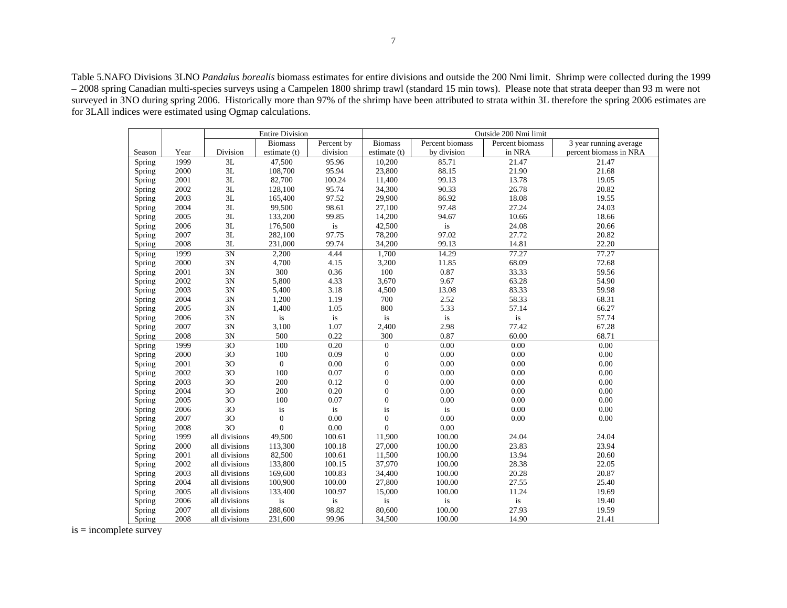Table 5.NAFO Divisions 3LNO *Pandalus borealis* biomass estimates for entire divisions and outside the 200 Nmi limit. Shrimp were collected during the 1999 – 2008 spring Canadian multi-species surveys using a Campelen 1800 shrimp trawl (standard 15 min tows). Please note that strata deeper than 93 m were not surveyed in 3NO during spring 2006. Historically more than 97% of the shrimp have been attributed to strata within 3L therefore the spring 2006 estimates are for 3LAll indices were estimated using Ogmap calculations.

|        |      |               | <b>Entire Division</b> |            | Outside 200 Nmi limit |                 |                 |                        |  |
|--------|------|---------------|------------------------|------------|-----------------------|-----------------|-----------------|------------------------|--|
|        |      |               | <b>Biomass</b>         | Percent by | <b>Biomass</b>        | Percent biomass | Percent biomass | 3 year running average |  |
| Season | Year | Division      | estimate (t)           | division   | estimate (t)          | by division     | in NRA          | percent biomass in NRA |  |
| Spring | 1999 | 3L            | 47,500                 | 95.96      | 10,200                | 85.71           | 21.47           | 21.47                  |  |
| Spring | 2000 | $3{\rm L}$    | 108,700                | 95.94      | 23,800                | 88.15           | 21.90           | 21.68                  |  |
| Spring | 2001 | $3{\rm L}$    | 82,700                 | 100.24     | 11,400                | 99.13           | 13.78           | 19.05                  |  |
| Spring | 2002 | $3{\rm L}$    | 128,100                | 95.74      | 34,300                | 90.33           | 26.78           | 20.82                  |  |
| Spring | 2003 | 3L            | 165,400                | 97.52      | 29,900                | 86.92           | 18.08           | 19.55                  |  |
| Spring | 2004 | 3L            | 99,500                 | 98.61      | 27,100                | 97.48           | 27.24           | 24.03                  |  |
| Spring | 2005 | $3{\rm L}$    | 133,200                | 99.85      | 14,200                | 94.67           | 10.66           | 18.66                  |  |
| Spring | 2006 | 3L            | 176,500                | is         | 42,500                | is              | 24.08           | 20.66                  |  |
| Spring | 2007 | 3L            | 282,100                | 97.75      | 78,200                | 97.02           | 27.72           | 20.82                  |  |
| Spring | 2008 | 3L            | 231,000                | 99.74      | 34,200                | 99.13           | 14.81           | 22.20                  |  |
| Spring | 1999 | 3N            | 2,200                  | 4.44       | 1,700                 | 14.29           | 77.27           | 77.27                  |  |
| Spring | 2000 | 3N            | 4,700                  | 4.15       | 3,200                 | 11.85           | 68.09           | 72.68                  |  |
| Spring | 2001 | 3N            | 300                    | 0.36       | 100                   | 0.87            | 33.33           | 59.56                  |  |
| Spring | 2002 | 3N            | 5,800                  | 4.33       | 3,670                 | 9.67            | 63.28           | 54.90                  |  |
| Spring | 2003 | 3N            | 5,400                  | 3.18       | 4,500                 | 13.08           | 83.33           | 59.98                  |  |
| Spring | 2004 | 3N            | 1,200                  | 1.19       | 700                   | 2.52            | 58.33           | 68.31                  |  |
| Spring | 2005 | 3N            | 1,400                  | 1.05       | 800                   | 5.33            | 57.14           | 66.27                  |  |
| Spring | 2006 | 3N            | is                     | is         | is                    | is              | is              | 57.74                  |  |
| Spring | 2007 | 3N            | 3,100                  | 1.07       | 2,400                 | 2.98            | 77.42           | 67.28                  |  |
| Spring | 2008 | 3N            | 500                    | 0.22       | 300                   | 0.87            | 60.00           | 68.71                  |  |
| Spring | 1999 | 3O            | 100                    | 0.20       | $\boldsymbol{0}$      | 0.00            | 0.00            | 0.00                   |  |
| Spring | 2000 | 3O            | 100                    | 0.09       | $\boldsymbol{0}$      | 0.00            | 0.00            | $0.00\,$               |  |
| Spring | 2001 | 3O            | $\boldsymbol{0}$       | 0.00       | $\boldsymbol{0}$      | 0.00            | 0.00            | $0.00\,$               |  |
| Spring | 2002 | 30            | 100                    | 0.07       | $\boldsymbol{0}$      | 0.00            | 0.00            | 0.00                   |  |
| Spring | 2003 | 30            | 200                    | 0.12       | $\boldsymbol{0}$      | 0.00            | 0.00            | 0.00                   |  |
| Spring | 2004 | 30            | 200                    | 0.20       | $\mathbf{0}$          | 0.00            | 0.00            | 0.00                   |  |
| Spring | 2005 | 30            | 100                    | 0.07       | $\mathbf{0}$          | 0.00            | 0.00            | 0.00                   |  |
| Spring | 2006 | 3O            | is                     | is         | is                    | is              | 0.00            | 0.00                   |  |
| Spring | 2007 | 30            | $\boldsymbol{0}$       | $0.00\,$   | $\boldsymbol{0}$      | $0.00\,$        | 0.00            | $0.00\,$               |  |
| Spring | 2008 | 3O            | $\overline{0}$         | 0.00       | $\overline{0}$        | 0.00            |                 |                        |  |
| Spring | 1999 | all divisions | 49,500                 | 100.61     | 11,900                | 100.00          | 24.04           | 24.04                  |  |
| Spring | 2000 | all divisions | 113,300                | 100.18     | 27,000                | 100.00          | 23.83           | 23.94                  |  |
| Spring | 2001 | all divisions | 82,500                 | 100.61     | 11,500                | 100.00          | 13.94           | 20.60                  |  |
| Spring | 2002 | all divisions | 133,800                | 100.15     | 37,970                | 100.00          | 28.38           | 22.05                  |  |
| Spring | 2003 | all divisions | 169,600                | 100.83     | 34,400                | 100.00          | 20.28           | 20.87                  |  |
| Spring | 2004 | all divisions | 100,900                | 100.00     | 27,800                | 100.00          | 27.55           | 25.40                  |  |
| Spring | 2005 | all divisions | 133,400                | 100.97     | 15,000                | 100.00          | 11.24           | 19.69                  |  |
| Spring | 2006 | all divisions | is                     | is         | is                    | is              | is              | 19.40                  |  |
| Spring | 2007 | all divisions | 288,600                | 98.82      | 80,600                | 100.00          | 27.93           | 19.59                  |  |
| Spring | 2008 | all divisions | 231,600                | 99.96      | 34,500                | 100.00          | 14.90           | 21.41                  |  |

 $is = incomplete survey$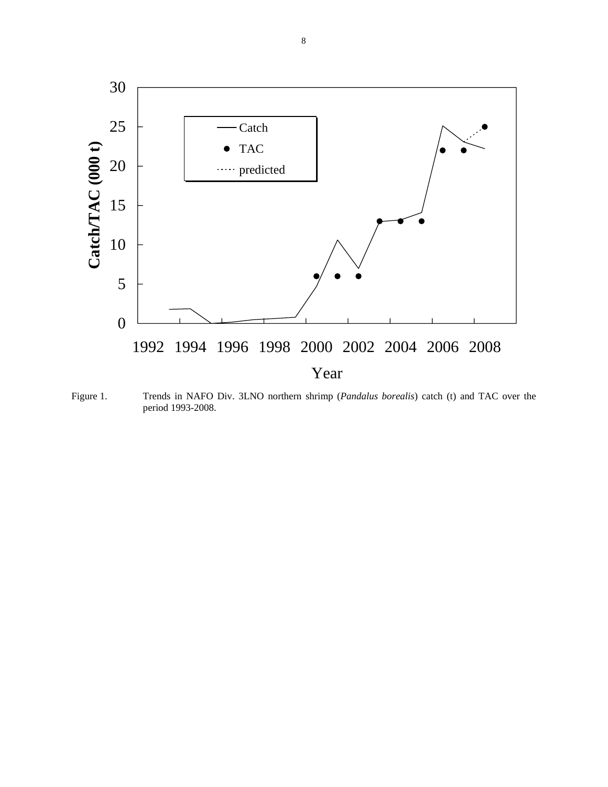

Figure 1. Trends in NAFO Div. 3LNO northern shrimp (*Pandalus borealis*) catch (t) and TAC over the period 1993-2008.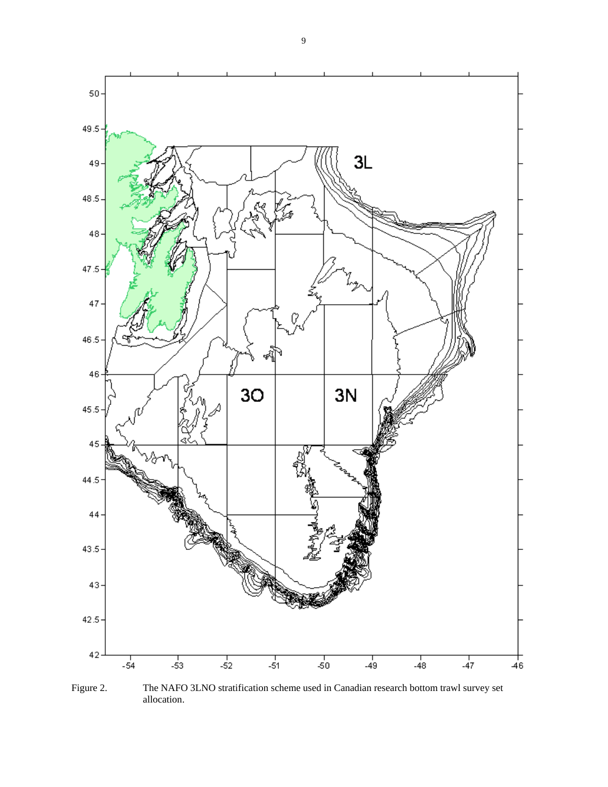

Figure 2. The NAFO 3LNO stratification scheme used in Canadian research bottom trawl survey set allocation.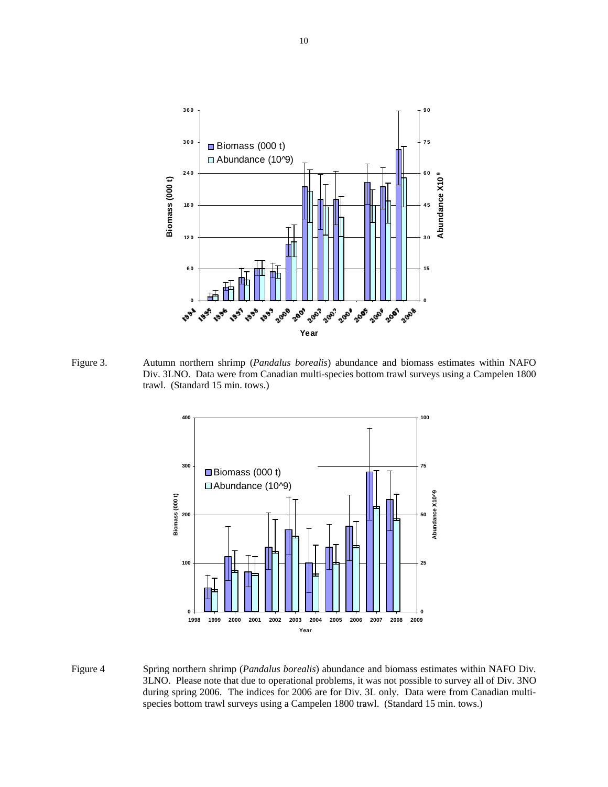

Figure 3. Autumn northern shrimp (*Pandalus borealis*) abundance and biomass estimates within NAFO Div. 3LNO. Data were from Canadian multi-species bottom trawl surveys using a Campelen 1800 trawl. (Standard 15 min. tows.)



Figure 4 Spring northern shrimp (*Pandalus borealis*) abundance and biomass estimates within NAFO Div. 3LNO. Please note that due to operational problems, it was not possible to survey all of Div. 3NO during spring 2006. The indices for 2006 are for Div. 3L only. Data were from Canadian multi species bottom trawl surveys using a Campelen 1800 trawl. (Standard 15 min. tows.)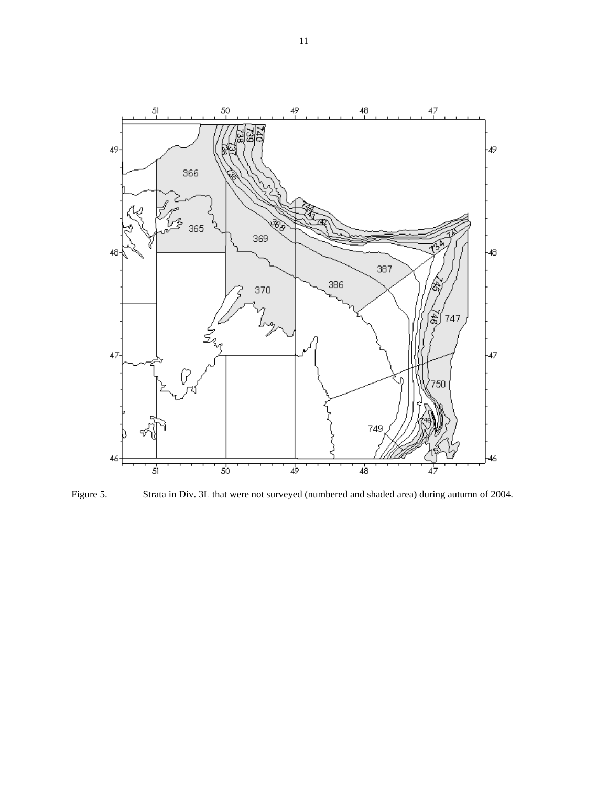

Figure 5. Strata in Div. 3L that were not surveyed (numbered and shaded area) during autumn of 2004.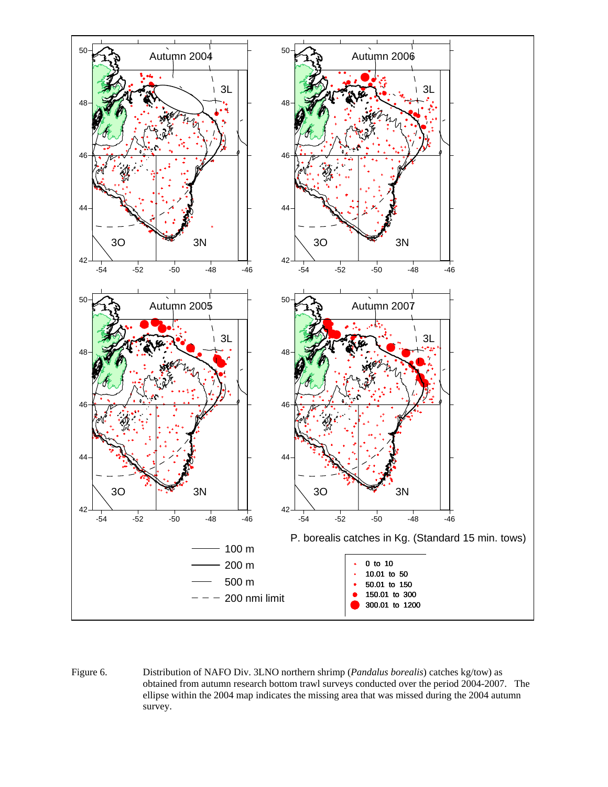

Figure 6. Distribution of NAFO Div. 3LNO northern shrimp (*Pandalus borealis*) catches kg/tow) as obtained from autumn research bottom trawl surveys conducted over the period 2004-2007. The ellipse within the 2004 map indicates the missing area that was missed during the 2004 autumn survey.